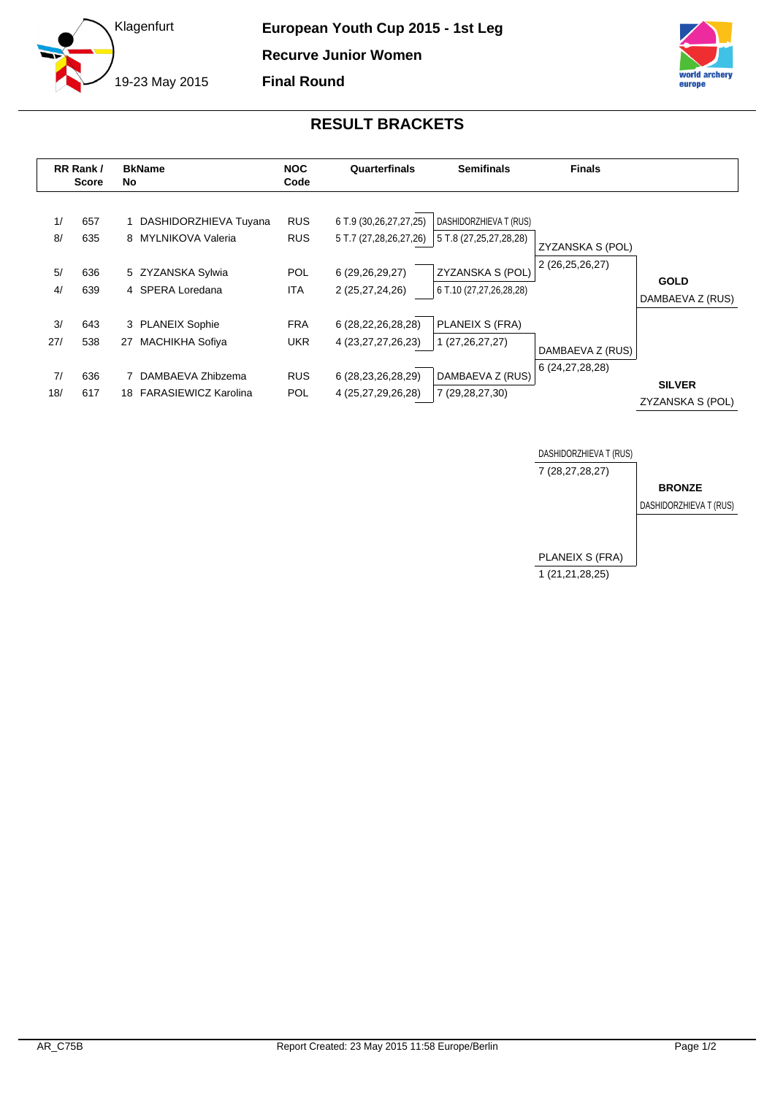



## **RESULT BRACKETS**

|           | RR Rank /<br><b>Score</b> | <b>BkName</b><br>No.                         | <b>NOC</b><br>Code       | Quarterfinals                                    | <b>Semifinals</b>                                | <b>Finals</b>    |                                   |
|-----------|---------------------------|----------------------------------------------|--------------------------|--------------------------------------------------|--------------------------------------------------|------------------|-----------------------------------|
| 1/<br>8/  | 657<br>635                | DASHIDORZHIEVA Tuyana<br>8 MYLNIKOVA Valeria | <b>RUS</b><br><b>RUS</b> | 6 T.9 (30,26,27,27,25)<br>5 T.7 (27,28,26,27,26) | DASHIDORZHIEVA T (RUS)<br>5 T.8 (27,25,27,28,28) | ZYZANSKA S (POL) |                                   |
| 5/<br>4/  | 636<br>639                | 5 ZYZANSKA Sylwia<br>4 SPERA Loredana        | <b>POL</b><br><b>ITA</b> | 6 (29,26,29,27)<br>2 (25,27,24,26)               | ZYZANSKA S (POL)<br>6 T.10 (27,27,26,28,28)      | 2 (26,25,26,27)  | <b>GOLD</b><br>DAMBAEVA Z (RUS)   |
| 3/<br>27/ | 643<br>538                | 3 PLANEIX Sophie<br>MACHIKHA Sofiya<br>27    | <b>FRA</b><br><b>UKR</b> | 6 (28,22,26,28,28)<br>4 (23, 27, 27, 26, 23)     | PLANEIX S (FRA)<br>1 (27, 26, 27, 27)            | DAMBAEVA Z (RUS) |                                   |
| 7/<br>18/ | 636<br>617                | DAMBAEVA Zhibzema<br>18 FARASIEWICZ Karolina | <b>RUS</b><br><b>POL</b> | 6 (28, 23, 26, 28, 29)<br>4 (25,27,29,26,28)     | DAMBAEVA Z (RUS)<br>7 (29,28,27,30)              | 6 (24,27,28,28)  | <b>SILVER</b><br>ZYZANSKA S (POL) |